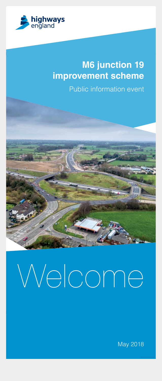

# **M6 junction 19 improvement scheme**

Public information event

# Welcome

May 2018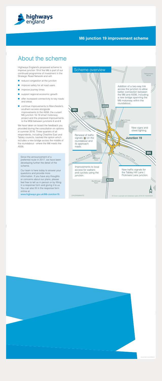

# About the scheme

Highways England's proposed scheme to improve junction 19 of the M6 is part of our<br>continued programme of investment in the continued programme of investment Strategic Road Network and will:

- **P** reduce congestion at the junction
- **n** improve safety for all road users
- **n** improve journey times
- support regional economic growth
- **offer increased connectivity to key roads** and areas
- continue improvements to Manchester's<br>southern access alongside southern access alongside improvements to the A556, the current M6 junction 16-19 smart motorway project and the proposed improvements to the M56 between junctions 6 and 8

We have taken on board the feedback you provided during the consultation on options in summer 2016. Three quarters of all respondents, including Cheshire East and Tabley councils, backed the option which includes a new bridge across the middle of the roundabout - where the M6 meets the A556.

Since the announcement of a preferred route in 2017, we have been developing further the detail of the scheme.

Our team is here today to answer you questions and provide more information. If you have any thoughts or concerns about our plans, please feel free to tell us in person or by filling in a response form and giving it to us. You can also fill in the response form online at:

s.gov.uk/M6-Junction19

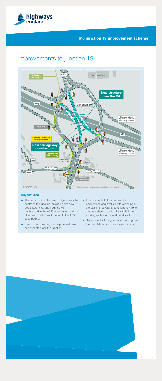

# Improvements to junction 19



### **Key features**

- The construction of a new bridge across the centre of the junction, providing two new dedicated links, one from the M6 northbound to the A556 northbound and the other from the M6 southbound to the A556 southbound.
- New toucan crossings to help pedestrians and cyclists cross the junction.
- Improvements to local access for pedestrians and cyclists with widening of the existing footway around junction 19 to create a shared use facility with links to existing routes to the north and south.
- Renewal of traffic signals and road signs on the roundabout and its approach roads.

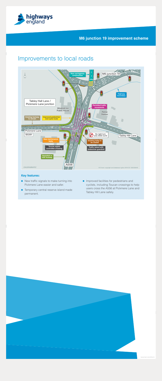

# Improvements to local roads



### **Key features:**

- New traffic signals to make turning into Pickmere Lane easier and safer.
- **Temporary central reserve island made** permanent.
- **Improved facilities for pedestrians and** cyclists, including Toucan crossings to help users cross the A556 at Pickmere Lane and Tabley Hill Lane safely.

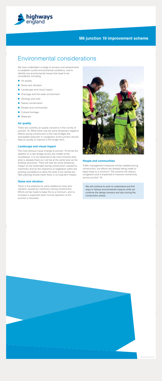

# Environmental considerations

We have undertaken a range of surveys and assessments to establish current environmental conditions, and to identify any environmental issues that need to be considered, including:

- Air quality
- Noise and vibration
- **Landscape and visual impact**
- Drainage and the water environment
- Geology and soils
- Nature conservation
- People and communities
- Cultural heritage
- **Materials**

### **Air quality**

֚֚֚֡

There are currently air quality concerns in the vicinity of junction 19. While there may be some temporary negative effects during construction of the new bridges the anticipated reduction in congestion at the junction should help air quality to improve in the longer term.

### **Landscape and visual impact**

The most obvious visual change at junction 19 will be the addition of a new bridge across the middle of the roundabout. It is not expected to be more intrusive than what is already there as it will be at the same level as the existing structures. There will also be some temporary impact on the landscape during construction caused by machinery and by the clearance of vegetation within the existing roundabout to allow the work to be carried out. New planting should mean there is no long-term impact.

### **Noise and vibration**

There is the potential for some additional noise and vibration caused by machinery during construction. Efforts will be made to keep this to a minimum, and no increase is expected when normal operation at the junction is resumed.



### **People and communities**

Traffic management measures will be needed during construction, but efforts are already being made to keep these to a minimum. The scheme will reduce congestion and is expected to improve connectivity across junction 19.

We will continue to work to understand and find ways to reduce environmental impacts while we continue the design process and also during the construction phase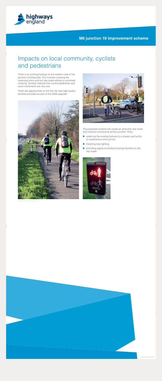

# Impacts on local community, cyclists and pedestrians

There is an existing footway on the western side of the junction (northbound). This involves crossing the motorway entry and exit slip roads without a controlled crossing. Surveys indicate that current pedestrian and cycle movements are very low.

There are opportunities to link into the new high-quality facilities provided as part of the A556 upgrade.





The proposed scheme will create an attractive new route and improve connectivity across junction 19 by:

- widening the existing footway to a shared use facility for pedestrians and cyclists
- installing new lighting
- providing signal-controlled crossing facilities on the slip roads